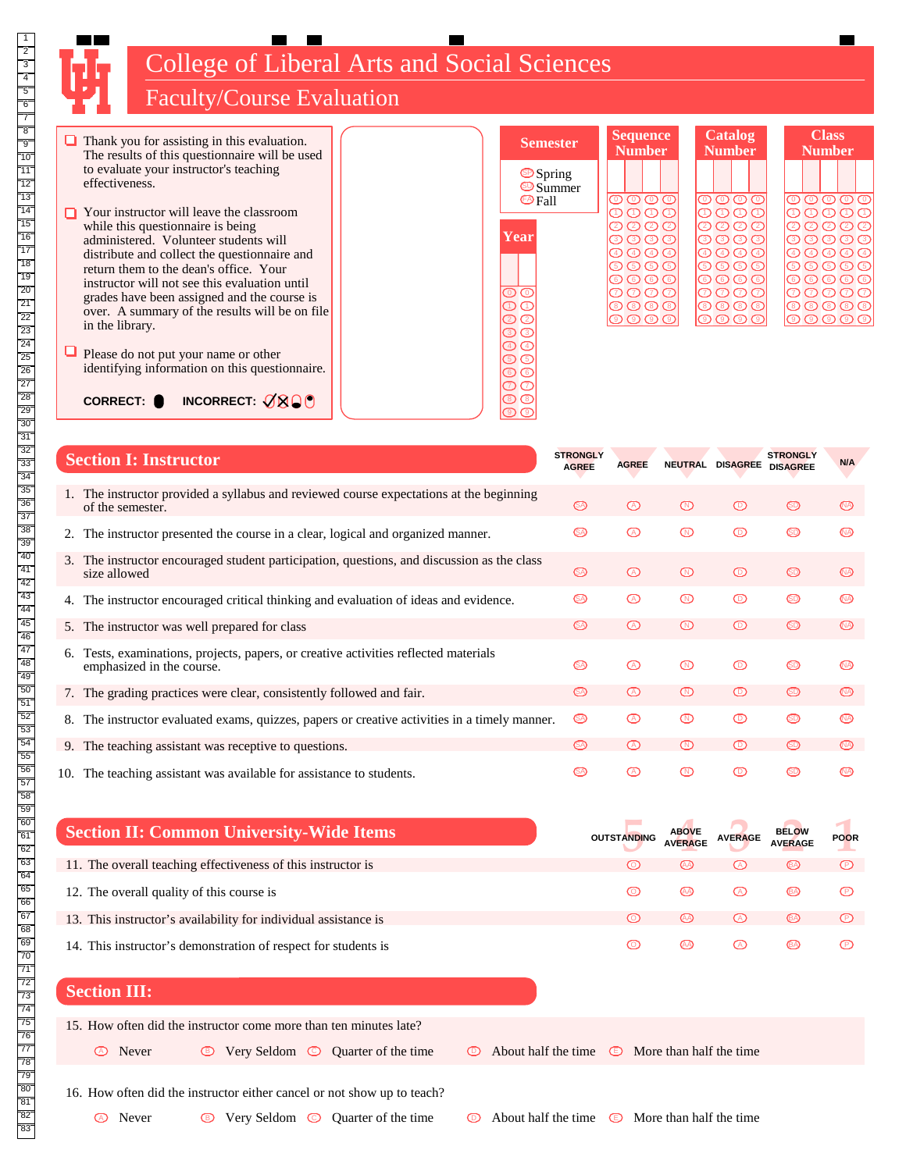

College of Liberal Arts and Social Sciences